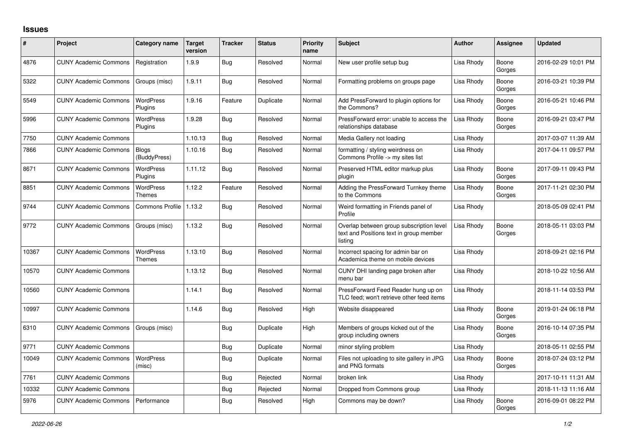## **Issues**

| ∦     | Project                      | Category name                     | Target<br>version | <b>Tracker</b> | <b>Status</b> | <b>Priority</b><br>name | <b>Subject</b>                                                                                 | <b>Author</b> | Assignee        | <b>Updated</b>      |
|-------|------------------------------|-----------------------------------|-------------------|----------------|---------------|-------------------------|------------------------------------------------------------------------------------------------|---------------|-----------------|---------------------|
| 4876  | <b>CUNY Academic Commons</b> | Registration                      | 1.9.9             | <b>Bug</b>     | Resolved      | Normal                  | New user profile setup bug                                                                     | Lisa Rhody    | Boone<br>Gorges | 2016-02-29 10:01 PM |
| 5322  | <b>CUNY Academic Commons</b> | Groups (misc)                     | 1.9.11            | <b>Bug</b>     | Resolved      | Normal                  | Formatting problems on groups page                                                             | Lisa Rhody    | Boone<br>Gorges | 2016-03-21 10:39 PM |
| 5549  | <b>CUNY Academic Commons</b> | <b>WordPress</b><br>Plugins       | 1.9.16            | Feature        | Duplicate     | Normal                  | Add PressForward to plugin options for<br>the Commons?                                         | Lisa Rhody    | Boone<br>Gorges | 2016-05-21 10:46 PM |
| 5996  | <b>CUNY Academic Commons</b> | <b>WordPress</b><br>Plugins       | 1.9.28            | <b>Bug</b>     | Resolved      | Normal                  | PressForward error: unable to access the<br>relationships database                             | Lisa Rhody    | Boone<br>Gorges | 2016-09-21 03:47 PM |
| 7750  | <b>CUNY Academic Commons</b> |                                   | 1.10.13           | Bug            | Resolved      | Normal                  | Media Gallery not loading                                                                      | Lisa Rhody    |                 | 2017-03-07 11:39 AM |
| 7866  | <b>CUNY Academic Commons</b> | <b>Blogs</b><br>(BuddyPress)      | 1.10.16           | <b>Bug</b>     | Resolved      | Normal                  | formatting / styling weirdness on<br>Commons Profile -> my sites list                          | Lisa Rhody    |                 | 2017-04-11 09:57 PM |
| 8671  | <b>CUNY Academic Commons</b> | <b>WordPress</b><br>Plugins       | 1.11.12           | Bug            | Resolved      | Normal                  | Preserved HTML editor markup plus<br>plugin                                                    | Lisa Rhody    | Boone<br>Gorges | 2017-09-11 09:43 PM |
| 8851  | <b>CUNY Academic Commons</b> | <b>WordPress</b><br><b>Themes</b> | 1.12.2            | Feature        | Resolved      | Normal                  | Adding the PressForward Turnkey theme<br>to the Commons                                        | Lisa Rhody    | Boone<br>Gorges | 2017-11-21 02:30 PM |
| 9744  | <b>CUNY Academic Commons</b> | <b>Commons Profile</b>            | 1.13.2            | Bug            | Resolved      | Normal                  | Weird formatting in Friends panel of<br>Profile                                                | Lisa Rhody    |                 | 2018-05-09 02:41 PM |
| 9772  | <b>CUNY Academic Commons</b> | Groups (misc)                     | 1.13.2            | Bug            | Resolved      | Normal                  | Overlap between group subscription level<br>text and Positions text in group member<br>listing | Lisa Rhody    | Boone<br>Gorges | 2018-05-11 03:03 PM |
| 10367 | <b>CUNY Academic Commons</b> | WordPress<br><b>Themes</b>        | 1.13.10           | Bug            | Resolved      | Normal                  | Incorrect spacing for admin bar on<br>Academica theme on mobile devices                        | Lisa Rhody    |                 | 2018-09-21 02:16 PM |
| 10570 | <b>CUNY Academic Commons</b> |                                   | 1.13.12           | Bug            | Resolved      | Normal                  | CUNY DHI landing page broken after<br>menu bar                                                 | Lisa Rhody    |                 | 2018-10-22 10:56 AM |
| 10560 | <b>CUNY Academic Commons</b> |                                   | 1.14.1            | <b>Bug</b>     | Resolved      | Normal                  | PressForward Feed Reader hung up on<br>TLC feed; won't retrieve other feed items               | Lisa Rhody    |                 | 2018-11-14 03:53 PM |
| 10997 | <b>CUNY Academic Commons</b> |                                   | 1.14.6            | Bug            | Resolved      | High                    | Website disappeared                                                                            | Lisa Rhody    | Boone<br>Gorges | 2019-01-24 06:18 PM |
| 6310  | <b>CUNY Academic Commons</b> | Groups (misc)                     |                   | Bug            | Duplicate     | High                    | Members of groups kicked out of the<br>group including owners                                  | Lisa Rhody    | Boone<br>Gorges | 2016-10-14 07:35 PM |
| 9771  | <b>CUNY Academic Commons</b> |                                   |                   | Bug            | Duplicate     | Normal                  | minor styling problem                                                                          | Lisa Rhody    |                 | 2018-05-11 02:55 PM |
| 10049 | <b>CUNY Academic Commons</b> | <b>WordPress</b><br>(misc)        |                   | Bug            | Duplicate     | Normal                  | Files not uploading to site gallery in JPG<br>and PNG formats                                  | Lisa Rhody    | Boone<br>Gorges | 2018-07-24 03:12 PM |
| 7761  | <b>CUNY Academic Commons</b> |                                   |                   | Bug            | Rejected      | Normal                  | broken link                                                                                    | Lisa Rhody    |                 | 2017-10-11 11:31 AM |
| 10332 | <b>CUNY Academic Commons</b> |                                   |                   | Bug            | Rejected      | Normal                  | Dropped from Commons group                                                                     | Lisa Rhody    |                 | 2018-11-13 11:16 AM |
| 5976  | <b>CUNY Academic Commons</b> | Performance                       |                   | Bug            | Resolved      | High                    | Commons may be down?                                                                           | Lisa Rhody    | Boone<br>Gorges | 2016-09-01 08:22 PM |